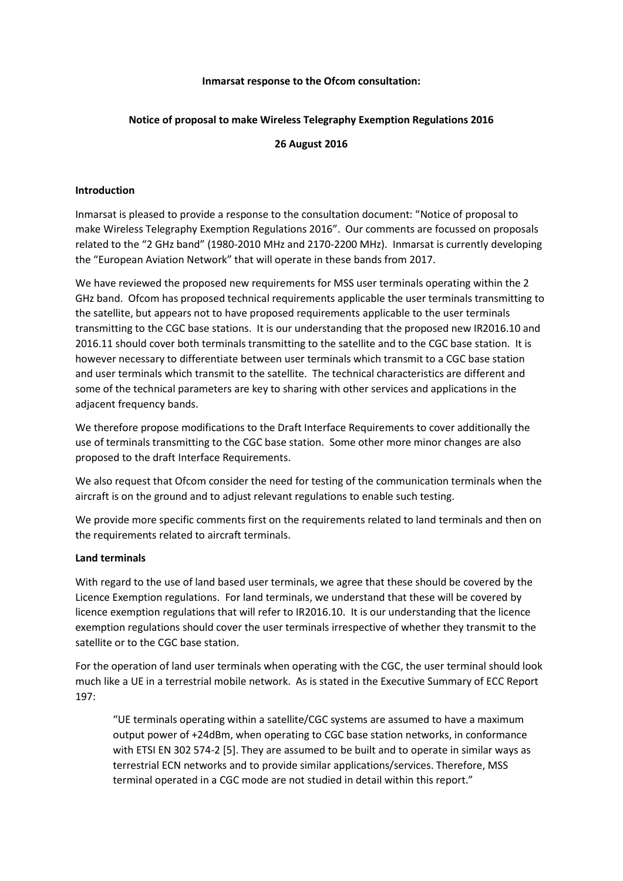### **Inmarsat response to the Ofcom consultation:**

# **Notice of proposal to make Wireless Telegraphy Exemption Regulations 2016**

# **26 August 2016**

## **Introduction**

Inmarsat is pleased to provide a response to the consultation document: "Notice of proposal to make Wireless Telegraphy Exemption Regulations 2016". Our comments are focussed on proposals related to the "2 GHz band" (1980‐2010 MHz and 2170‐2200 MHz). Inmarsat is currently developing the "European Aviation Network" that will operate in these bands from 2017.

We have reviewed the proposed new requirements for MSS user terminals operating within the 2 GHz band. Ofcom has proposed technical requirements applicable the user terminals transmitting to the satellite, but appears not to have proposed requirements applicable to the user terminals transmitting to the CGC base stations. It is our understanding that the proposed new IR2016.10 and 2016.11 should cover both terminals transmitting to the satellite and to the CGC base station. It is however necessary to differentiate between user terminals which transmit to a CGC base station and user terminals which transmit to the satellite. The technical characteristics are different and some of the technical parameters are key to sharing with other services and applications in the adjacent frequency bands.

We therefore propose modifications to the Draft Interface Requirements to cover additionally the use of terminals transmitting to the CGC base station. Some other more minor changes are also proposed to the draft Interface Requirements.

We also request that Ofcom consider the need for testing of the communication terminals when the aircraft is on the ground and to adjust relevant regulations to enable such testing.

We provide more specific comments first on the requirements related to land terminals and then on the requirements related to aircraft terminals.

#### **Land terminals**

With regard to the use of land based user terminals, we agree that these should be covered by the Licence Exemption regulations. For land terminals, we understand that these will be covered by licence exemption regulations that will refer to IR2016.10. It is our understanding that the licence exemption regulations should cover the user terminals irrespective of whether they transmit to the satellite or to the CGC base station.

For the operation of land user terminals when operating with the CGC, the user terminal should look much like a UE in a terrestrial mobile network. As is stated in the Executive Summary of ECC Report 197:

"UE terminals operating within a satellite/CGC systems are assumed to have a maximum output power of +24dBm, when operating to CGC base station networks, in conformance with ETSI EN 302 574-2 [5]. They are assumed to be built and to operate in similar ways as terrestrial ECN networks and to provide similar applications/services. Therefore, MSS terminal operated in a CGC mode are not studied in detail within this report."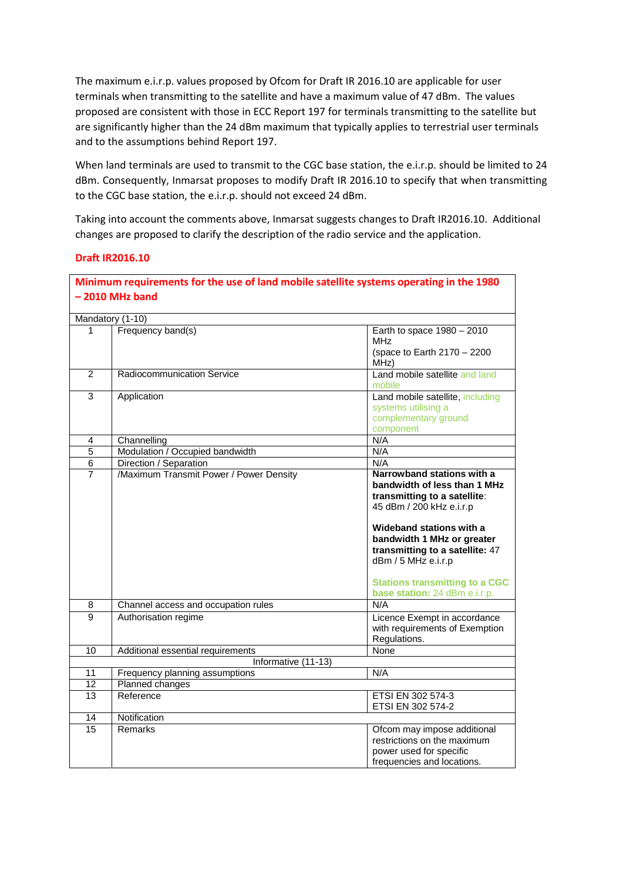The maximum e.i.r.p. values proposed by Ofcom for Draft IR 2016.10 are applicable for user terminals when transmitting to the satellite and have a maximum value of 47 dBm. The values proposed are consistent with those in ECC Report 197 for terminals transmitting to the satellite but are significantly higher than the 24 dBm maximum that typically applies to terrestrial user terminals and to the assumptions behind Report 197.

When land terminals are used to transmit to the CGC base station, the e.i.r.p. should be limited to 24 dBm. Consequently, Inmarsat proposes to modify Draft IR 2016.10 to specify that when transmitting to the CGC base station, the e.i.r.p. should not exceed 24 dBm.

Taking into account the comments above, Inmarsat suggests changes to Draft IR2016.10. Additional changes are proposed to clarify the description of the radio service and the application.

## **Draft IR2016.10**

| Minimum requirements for the use of land mobile satellite systems operating in the 1980 |                                         |                                       |  |  |
|-----------------------------------------------------------------------------------------|-----------------------------------------|---------------------------------------|--|--|
|                                                                                         | $-2010$ MHz band                        |                                       |  |  |
|                                                                                         |                                         |                                       |  |  |
| Mandatory (1-10)                                                                        |                                         |                                       |  |  |
| 1                                                                                       | Frequency band(s)                       | Earth to space $1980 - 2010$          |  |  |
|                                                                                         |                                         | MH <sub>7</sub>                       |  |  |
|                                                                                         |                                         | (space to Earth 2170 - 2200           |  |  |
|                                                                                         |                                         | MHz)                                  |  |  |
| $\overline{2}$                                                                          | Radiocommunication Service              | Land mobile satellite and land        |  |  |
|                                                                                         |                                         | mobile                                |  |  |
| $\overline{3}$                                                                          | Application                             | Land mobile satellite, including      |  |  |
|                                                                                         |                                         | systems utilising a                   |  |  |
|                                                                                         |                                         | complementary ground                  |  |  |
|                                                                                         |                                         | component                             |  |  |
| $\overline{\mathbf{4}}$                                                                 | Channelling                             | N/A                                   |  |  |
| $\overline{5}$                                                                          | Modulation / Occupied bandwidth         | N/A                                   |  |  |
| 6                                                                                       | Direction / Separation                  | N/A                                   |  |  |
| $\overline{7}$                                                                          | /Maximum Transmit Power / Power Density | Narrowband stations with a            |  |  |
|                                                                                         |                                         | bandwidth of less than 1 MHz          |  |  |
|                                                                                         |                                         | transmitting to a satellite:          |  |  |
|                                                                                         |                                         | 45 dBm / 200 kHz e.i.r.p              |  |  |
|                                                                                         |                                         |                                       |  |  |
|                                                                                         |                                         | Wideband stations with a              |  |  |
|                                                                                         |                                         | bandwidth 1 MHz or greater            |  |  |
|                                                                                         |                                         | transmitting to a satellite: 47       |  |  |
|                                                                                         |                                         | dBm / 5 MHz e.i.r.p                   |  |  |
|                                                                                         |                                         |                                       |  |  |
|                                                                                         |                                         | <b>Stations transmitting to a CGC</b> |  |  |
|                                                                                         |                                         | base station: 24 dBm e.i.r.p.         |  |  |
| 8                                                                                       | Channel access and occupation rules     | N/A                                   |  |  |
| $\overline{9}$                                                                          | Authorisation regime                    | Licence Exempt in accordance          |  |  |
|                                                                                         |                                         | with requirements of Exemption        |  |  |
|                                                                                         |                                         | Regulations.                          |  |  |
| 10                                                                                      | Additional essential requirements       | None                                  |  |  |
|                                                                                         | Informative (11-13)                     |                                       |  |  |
| 11                                                                                      | Frequency planning assumptions          | N/A                                   |  |  |
| 12                                                                                      | Planned changes                         |                                       |  |  |
| 13                                                                                      | Reference                               | ETSI EN 302 574-3                     |  |  |
|                                                                                         |                                         | ETSI EN 302 574-2                     |  |  |
| 14                                                                                      | Notification                            |                                       |  |  |
| 15                                                                                      | Remarks                                 | Ofcom may impose additional           |  |  |
|                                                                                         |                                         | restrictions on the maximum           |  |  |
|                                                                                         |                                         | power used for specific               |  |  |
|                                                                                         |                                         | frequencies and locations.            |  |  |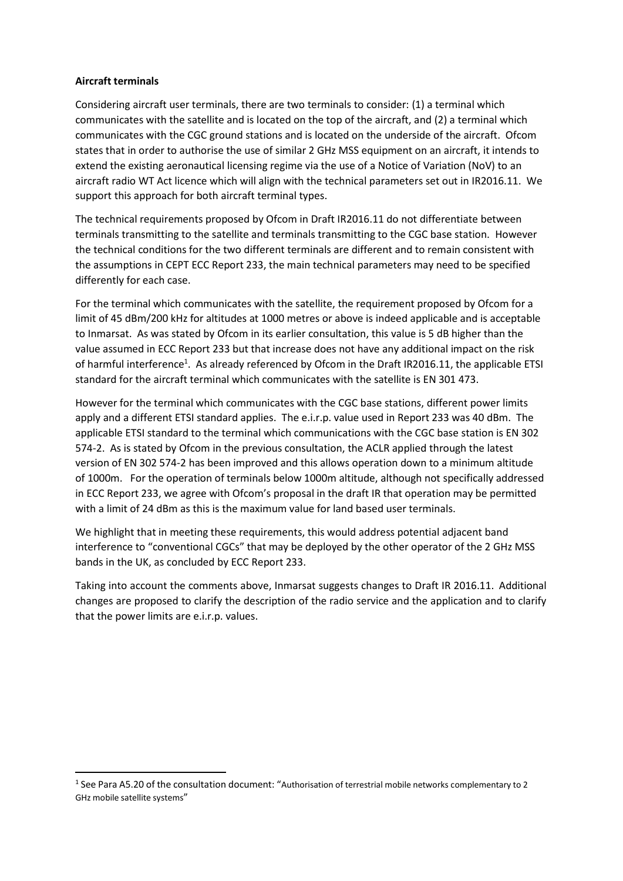## **Aircraft terminals**

Considering aircraft user terminals, there are two terminals to consider: (1) a terminal which communicates with the satellite and is located on the top of the aircraft, and (2) a terminal which communicates with the CGC ground stations and is located on the underside of the aircraft. Ofcom states that in order to authorise the use of similar 2 GHz MSS equipment on an aircraft, it intends to extend the existing aeronautical licensing regime via the use of a Notice of Variation (NoV) to an aircraft radio WT Act licence which will align with the technical parameters set out in IR2016.11. We support this approach for both aircraft terminal types.

The technical requirements proposed by Ofcom in Draft IR2016.11 do not differentiate between terminals transmitting to the satellite and terminals transmitting to the CGC base station. However the technical conditions for the two different terminals are different and to remain consistent with the assumptions in CEPT ECC Report 233, the main technical parameters may need to be specified differently for each case.

For the terminal which communicates with the satellite, the requirement proposed by Ofcom for a limit of 45 dBm/200 kHz for altitudes at 1000 metres or above is indeed applicable and is acceptable to Inmarsat. As was stated by Ofcom in its earlier consultation, this value is 5 dB higher than the value assumed in ECC Report 233 but that increase does not have any additional impact on the risk of harmful interference<sup>1</sup>. As already referenced by Ofcom in the Draft IR2016.11, the applicable ETSI standard for the aircraft terminal which communicates with the satellite is EN 301 473.

However for the terminal which communicates with the CGC base stations, different power limits apply and a different ETSI standard applies. The e.i.r.p. value used in Report 233 was 40 dBm. The applicable ETSI standard to the terminal which communications with the CGC base station is EN 302 574-2. As is stated by Ofcom in the previous consultation, the ACLR applied through the latest version of EN 302 574‐2 has been improved and this allows operation down to a minimum altitude of 1000m. For the operation of terminals below 1000m altitude, although not specifically addressed in ECC Report 233, we agree with Ofcom's proposal in the draft IR that operation may be permitted with a limit of 24 dBm as this is the maximum value for land based user terminals.

We highlight that in meeting these requirements, this would address potential adjacent band interference to "conventional CGCs" that may be deployed by the other operator of the 2 GHz MSS bands in the UK, as concluded by ECC Report 233.

Taking into account the comments above, Inmarsat suggests changes to Draft IR 2016.11. Additional changes are proposed to clarify the description of the radio service and the application and to clarify that the power limits are e.i.r.p. values.

<sup>1</sup> See Para A5.20 of the consultation document: "Authorisation of terrestrial mobile networks complementary to 2 GHz mobile satellite systems"